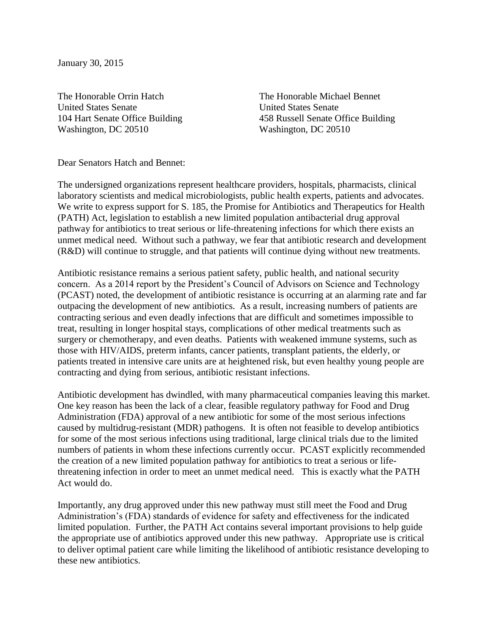January 30, 2015

The Honorable Orrin Hatch The Honorable Michael Bennet United States Senate United States Senate Washington, DC 20510 Washington, DC 20510

104 Hart Senate Office Building 458 Russell Senate Office Building

Dear Senators Hatch and Bennet:

The undersigned organizations represent healthcare providers, hospitals, pharmacists, clinical laboratory scientists and medical microbiologists, public health experts, patients and advocates. We write to express support for S. 185, the Promise for Antibiotics and Therapeutics for Health (PATH) Act, legislation to establish a new limited population antibacterial drug approval pathway for antibiotics to treat serious or life-threatening infections for which there exists an unmet medical need. Without such a pathway, we fear that antibiotic research and development (R&D) will continue to struggle, and that patients will continue dying without new treatments.

Antibiotic resistance remains a serious patient safety, public health, and national security concern. As a 2014 report by the President's Council of Advisors on Science and Technology (PCAST) noted, the development of antibiotic resistance is occurring at an alarming rate and far outpacing the development of new antibiotics. As a result, increasing numbers of patients are contracting serious and even deadly infections that are difficult and sometimes impossible to treat, resulting in longer hospital stays, complications of other medical treatments such as surgery or chemotherapy, and even deaths. Patients with weakened immune systems, such as those with HIV/AIDS, preterm infants, cancer patients, transplant patients, the elderly, or patients treated in intensive care units are at heightened risk, but even healthy young people are contracting and dying from serious, antibiotic resistant infections.

Antibiotic development has dwindled, with many pharmaceutical companies leaving this market. One key reason has been the lack of a clear, feasible regulatory pathway for Food and Drug Administration (FDA) approval of a new antibiotic for some of the most serious infections caused by multidrug-resistant (MDR) pathogens. It is often not feasible to develop antibiotics for some of the most serious infections using traditional, large clinical trials due to the limited numbers of patients in whom these infections currently occur. PCAST explicitly recommended the creation of a new limited population pathway for antibiotics to treat a serious or lifethreatening infection in order to meet an unmet medical need. This is exactly what the PATH Act would do.

Importantly, any drug approved under this new pathway must still meet the Food and Drug Administration's (FDA) standards of evidence for safety and effectiveness for the indicated limited population. Further, the PATH Act contains several important provisions to help guide the appropriate use of antibiotics approved under this new pathway. Appropriate use is critical to deliver optimal patient care while limiting the likelihood of antibiotic resistance developing to these new antibiotics.